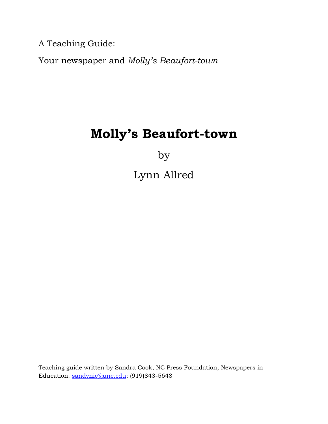A Teaching Guide:

Your newspaper and *Molly's Beaufort-town* 

# **Molly's Beaufort-town**

by

Lynn Allred

Teaching guide written by Sandra Cook, NC Press Foundation, Newspapers in Education. sandynie@unc.edu; (919)843-5648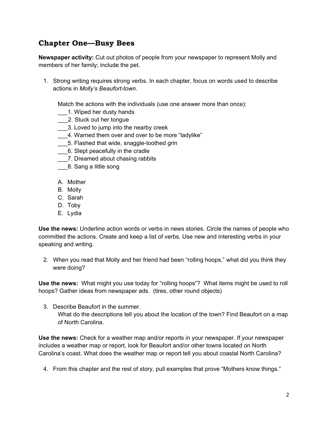# **Chapter One—Busy Bees**

**Newspaper activity:** Cut out photos of people from your newspaper to represent Molly and members of her family; include the pet.

1. Strong writing requires strong verbs. In each chapter, focus on words used to describe actions in *Molly's Beaufort-town.*

Match the actions with the individuals (use one answer more than once):

- \_\_\_1. Wiped her dusty hands
- \_\_\_2. Stuck out her tongue
- \_\_\_3. Loved to jump into the nearby creek
- \_\_\_4. Warned them over and over to be more "ladylike"
- \_\_\_5. Flashed that wide, snaggle-toothed grin
- \_\_\_6. Slept peacefully in the cradle
- \_\_\_7. Dreamed about chasing rabbits
- \_\_\_\_8. Sang a little song
- A. Mother
- B. Molly
- C. Sarah
- D. Toby
- E. Lydia

**Use the news:** Underline action words or verbs in news stories. Circle the names of people who committed the actions. Create and keep a list of verbs. Use new and interesting verbs in your speaking and writing.

2. When you read that Molly and her friend had been "rolling hoops," what did you think they were doing?

**Use the news:** What might you use today for "rolling hoops"? What items might be used to roll hoops? Gather ideas from newspaper ads. (tires, other round objects)

3. Describe Beaufort in the summer. What do the descriptions tell you about the location of the town? Find Beaufort on a map of North Carolina.

**Use the news:** Check for a weather map and/or reports in your newspaper. If your newspaper includes a weather map or report, look for Beaufort and/or other towns located on North Carolina's coast. What does the weather map or report tell you about coastal North Carolina?

4. From this chapter and the rest of story, pull examples that prove "Mothers know things."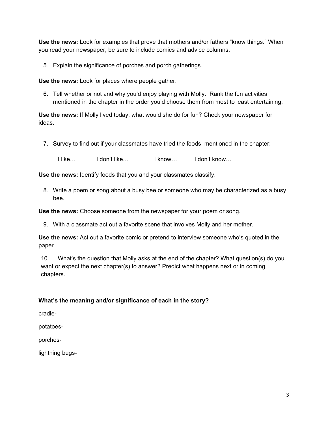**Use the news:** Look for examples that prove that mothers and/or fathers "know things." When you read your newspaper, be sure to include comics and advice columns.

5. Explain the significance of porches and porch gatherings.

**Use the news:** Look for places where people gather.

6. Tell whether or not and why you'd enjoy playing with Molly. Rank the fun activities mentioned in the chapter in the order you'd choose them from most to least entertaining.

**Use the news:** If Molly lived today, what would she do for fun? Check your newspaper for ideas.

7. Survey to find out if your classmates have tried the foods mentioned in the chapter:

I like… I don't like… I know… I don't know…

**Use the news:** Identify foods that you and your classmates classify.

8. Write a poem or song about a busy bee or someone who may be characterized as a busy bee.

**Use the news:** Choose someone from the newspaper for your poem or song.

9. With a classmate act out a favorite scene that involves Molly and her mother.

**Use the news:** Act out a favorite comic or pretend to interview someone who's quoted in the paper.

10. What's the question that Molly asks at the end of the chapter? What question(s) do you want or expect the next chapter(s) to answer? Predict what happens next or in coming chapters.

#### **What's the meaning and/or significance of each in the story?**

cradle-

potatoes-

porches-

lightning bugs-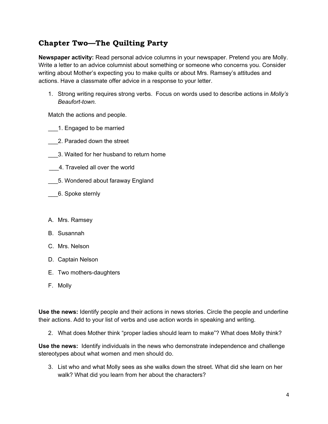# **Chapter Two—The Quilting Party**

**Newspaper activity:** Read personal advice columns in your newspaper. Pretend you are Molly. Write a letter to an advice columnist about something or someone who concerns you. Consider writing about Mother's expecting you to make quilts or about Mrs. Ramsey's attitudes and actions. Have a classmate offer advice in a response to your letter.

1. Strong writing requires strong verbs. Focus on words used to describe actions in *Molly's Beaufort-town.*

Match the actions and people.

- \_\_\_1. Engaged to be married
- \_\_\_2. Paraded down the street
- \_\_\_3. Waited for her husband to return home
- \_\_\_4. Traveled all over the world
- \_\_\_5. Wondered about faraway England
- \_\_\_6. Spoke sternly
- A. Mrs. Ramsey
- B. Susannah
- C. Mrs. Nelson
- D. Captain Nelson
- E. Two mothers-daughters
- F. Molly

**Use the news:** Identify people and their actions in news stories. Circle the people and underline their actions. Add to your list of verbs and use action words in speaking and writing.

2. What does Mother think "proper ladies should learn to make"? What does Molly think?

**Use the news:** Identify individuals in the news who demonstrate independence and challenge stereotypes about what women and men should do.

3. List who and what Molly sees as she walks down the street. What did she learn on her walk? What did you learn from her about the characters?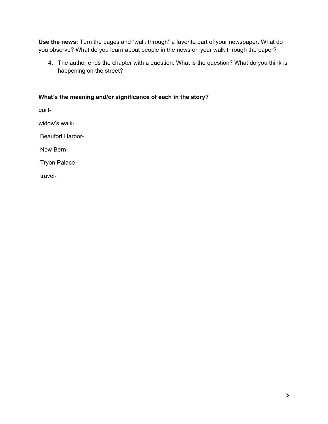**Use the news:** Turn the pages and "walk through" a favorite part of your newspaper. What do you observe? What do you learn about people in the news on your walk through the paper?

4. The author ends the chapter with a question. What is the question? What do you think is happening on the street?

#### **What's the meaning and/or significance of each in the story?**

quilt-

widow's walk-

Beaufort Harbor-

New Bern-

Tryon Palace-

travel-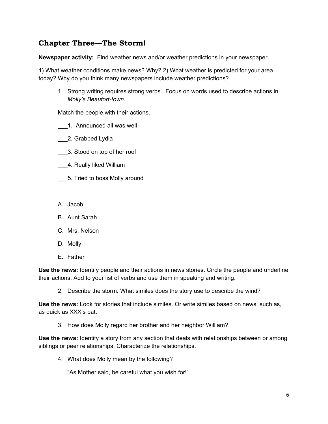# **Chapter Three—The Storm!**

**Newspaper activity:** Find weather news and/or weather predictions in your newspaper.

1) What weather conditions make news? Why? 2) What weather is predicted for your area today? Why do you think many newspapers include weather predictions?

1. Strong writing requires strong verbs. Focus on words used to describe actions in *Molly's Beaufort-town.*

Match the people with their actions.

- \_\_\_1. Announced all was well
- \_\_\_2. Grabbed Lydia
- \_\_\_3. Stood on top of her roof
- \_\_\_4. Really liked William
- \_\_\_5. Tried to boss Molly around
- A. Jacob
- B. Aunt Sarah
- C. Mrs. Nelson
- D. Molly
- E. Father

**Use the news:** Identify people and their actions in news stories. Circle the people and underline their actions. Add to your list of verbs and use them in speaking and writing.

2. Describe the storm. What similes does the story use to describe the wind?

**Use the news:** Look for stories that include similes. Or write similes based on news, such as, as quick as XXX's bat.

3. How does Molly regard her brother and her neighbor William?

**Use the news:** Identify a story from any section that deals with relationships between or among siblings or peer relationships. Characterize the relationships.

4. What does Molly mean by the following?

"As Mother said, be careful what you wish for!"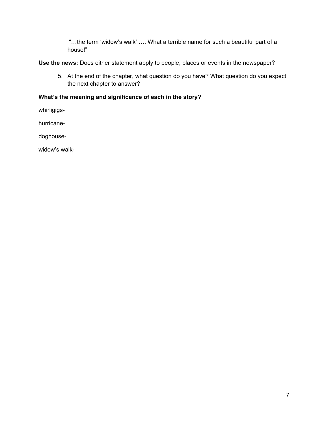"…the term 'widow's walk' …. What a terrible name for such a beautiful part of a house!"

**Use the news:** Does either statement apply to people, places or events in the newspaper?

5. At the end of the chapter, what question do you have? What question do you expect the next chapter to answer?

#### **What's the meaning and significance of each in the story?**

whirligigs-

hurricane-

doghouse-

widow's walk-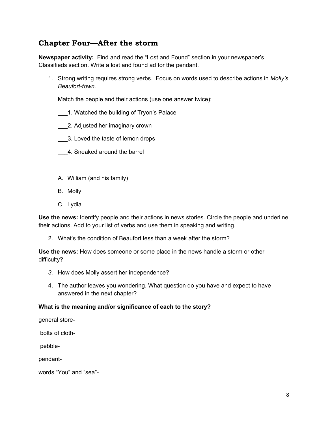# **Chapter Four—After the storm**

**Newspaper activity:** Find and read the "Lost and Found" section in your newspaper's Classifieds section. Write a lost and found ad for the pendant.

1. Strong writing requires strong verbs. Focus on words used to describe actions in *Molly's Beaufort-town.*

Match the people and their actions (use one answer twice):

- \_\_\_1. Watched the building of Tryon's Palace
- \_\_\_2. Adjusted her imaginary crown
- \_\_\_3. Loved the taste of lemon drops
- \_\_\_4. Sneaked around the barrel
- A. William (and his family)
- B. Molly
- C. Lydia

**Use the news:** Identify people and their actions in news stories. Circle the people and underline their actions. Add to your list of verbs and use them in speaking and writing.

2. What's the condition of Beaufort less than a week after the storm?

**Use the news:** How does someone or some place in the news handle a storm or other difficulty?

- *3.* How does Molly assert her independence?
- 4. The author leaves you wondering. What question do you have and expect to have answered in the next chapter?

#### **What is the meaning and/or significance of each to the story?**

general store-

bolts of cloth-

pebble-

pendant-

words "You" and "sea"-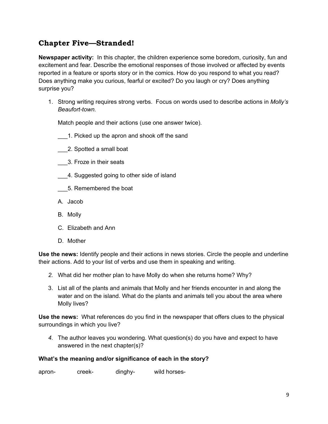# **Chapter Five—Stranded!**

**Newspaper activity:** In this chapter, the children experience some boredom, curiosity, fun and excitement and fear. Describe the emotional responses of those involved or affected by events reported in a feature or sports story or in the comics. How do you respond to what you read? Does anything make you curious, fearful or excited? Do you laugh or cry? Does anything surprise you?

1. Strong writing requires strong verbs. Focus on words used to describe actions in *Molly's Beaufort-town.*

Match people and their actions (use one answer twice).

- 1. Picked up the apron and shook off the sand
- \_\_\_2. Spotted a small boat
- \_\_\_3. Froze in their seats
- \_\_\_4. Suggested going to other side of island
- \_\_\_5. Remembered the boat
- A. Jacob
- B. Molly
- C. Elizabeth and Ann
- D. Mother

**Use the news:** Identify people and their actions in news stories. Circle the people and underline their actions. Add to your list of verbs and use them in speaking and writing.

- *2.* What did her mother plan to have Molly do when she returns home? Why?
- 3. List all of the plants and animals that Molly and her friends encounter in and along the water and on the island. What do the plants and animals tell you about the area where Molly lives?

**Use the news:** What references do you find in the newspaper that offers clues to the physical surroundings in which you live?

*4.* The author leaves you wondering. What question(s) do you have and expect to have answered in the next chapter(s)?

#### **What's the meaning and/or significance of each in the story?**

apron- creek- dinghy- wild horses-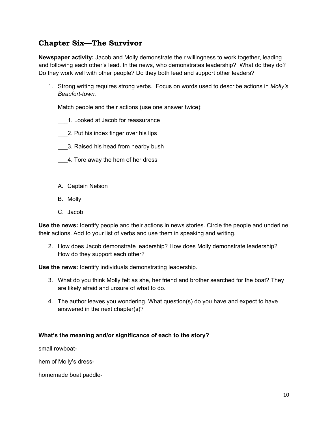# **Chapter Six—The Survivor**

**Newspaper activity:** Jacob and Molly demonstrate their willingness to work together, leading and following each other's lead. In the news, who demonstrates leadership? What do they do? Do they work well with other people? Do they both lead and support other leaders?

1. Strong writing requires strong verbs. Focus on words used to describe actions in *Molly's Beaufort-town.*

Match people and their actions (use one answer twice):

- \_\_\_1. Looked at Jacob for reassurance
- \_\_\_2. Put his index finger over his lips
- \_\_\_3. Raised his head from nearby bush
- \_\_\_4. Tore away the hem of her dress
- A. Captain Nelson
- B. Molly
- C. Jacob

**Use the news:** Identify people and their actions in news stories. Circle the people and underline their actions. Add to your list of verbs and use them in speaking and writing.

2. How does Jacob demonstrate leadership? How does Molly demonstrate leadership? How do they support each other?

**Use the news:** Identify individuals demonstrating leadership.

- 3. What do you think Molly felt as she, her friend and brother searched for the boat? They are likely afraid and unsure of what to do.
- 4. The author leaves you wondering. What question(s) do you have and expect to have answered in the next chapter(s)?

#### **What's the meaning and/or significance of each to the story?**

small rowboat-

hem of Molly's dress-

homemade boat paddle-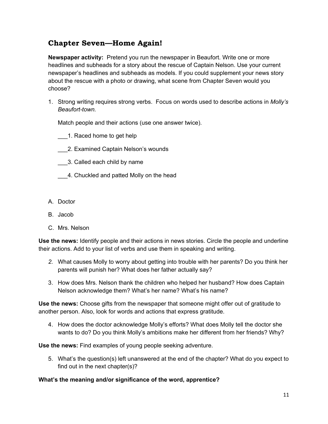# **Chapter Seven—Home Again!**

**Newspaper activity:** Pretend you run the newspaper in Beaufort. Write one or more headlines and subheads for a story about the rescue of Captain Nelson. Use your current newspaper's headlines and subheads as models. If you could supplement your news story about the rescue with a photo or drawing, what scene from Chapter Seven would you choose?

1. Strong writing requires strong verbs. Focus on words used to describe actions in *Molly's Beaufort-town.*

Match people and their actions (use one answer twice).

\_\_\_1. Raced home to get help

- \_\_\_2. Examined Captain Nelson's wounds
- \_\_\_3. Called each child by name
- \_\_\_4. Chuckled and patted Molly on the head
- A. Doctor
- B. Jacob
- C. Mrs. Nelson

**Use the news:** Identify people and their actions in news stories. Circle the people and underline their actions. Add to your list of verbs and use them in speaking and writing.

- *2.* What causes Molly to worry about getting into trouble with her parents? Do you think her parents will punish her? What does her father actually say?
- 3. How does Mrs. Nelson thank the children who helped her husband? How does Captain Nelson acknowledge them? What's her name? What's his name?

**Use the news:** Choose gifts from the newspaper that someone might offer out of gratitude to another person. Also, look for words and actions that express gratitude.

4. How does the doctor acknowledge Molly's efforts? What does Molly tell the doctor she wants to do? Do you think Molly's ambitions make her different from her friends? Why?

**Use the news:** Find examples of young people seeking adventure.

5. What's the question(s) left unanswered at the end of the chapter? What do you expect to find out in the next chapter(s)?

#### **What's the meaning and/or significance of the word, apprentice?**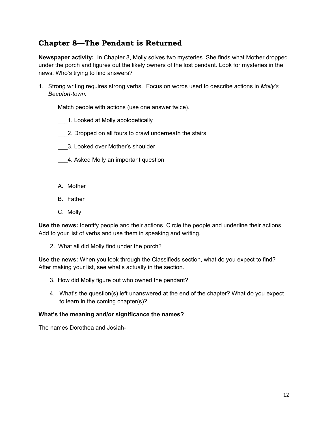# **Chapter 8—The Pendant is Returned**

**Newspaper activity:** In Chapter 8, Molly solves two mysteries. She finds what Mother dropped under the porch and figures out the likely owners of the lost pendant. Look for mysteries in the news. Who's trying to find answers?

1. Strong writing requires strong verbs. Focus on words used to describe actions in *Molly's Beaufort-town.*

Match people with actions (use one answer twice).

- \_\_\_1. Looked at Molly apologetically
- \_\_\_2. Dropped on all fours to crawl underneath the stairs
- \_\_\_3. Looked over Mother's shoulder
- \_\_\_4. Asked Molly an important question
- A. Mother
- B. Father
- C. Molly

**Use the news:** Identify people and their actions. Circle the people and underline their actions. Add to your list of verbs and use them in speaking and writing.

2. What all did Molly find under the porch?

**Use the news:** When you look through the Classifieds section, what do you expect to find? After making your list, see what's actually in the section.

- 3. How did Molly figure out who owned the pendant?
- 4. What's the question(s) left unanswered at the end of the chapter? What do you expect to learn in the coming chapter(s)?

#### **What's the meaning and/or significance the names?**

The names Dorothea and Josiah-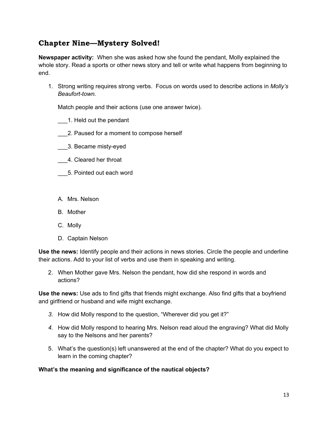# **Chapter Nine—Mystery Solved!**

**Newspaper activity:** When she was asked how she found the pendant, Molly explained the whole story. Read a sports or other news story and tell or write what happens from beginning to end.

1. Strong writing requires strong verbs. Focus on words used to describe actions in *Molly's Beaufort-town.*

Match people and their actions (use one answer twice).

- \_\_\_1. Held out the pendant
- \_\_\_2. Paused for a moment to compose herself
- \_\_\_3. Became misty-eyed
- \_\_\_4. Cleared her throat
- \_\_\_5. Pointed out each word
- A. Mrs. Nelson
- B. Mother
- C. Molly
- D. Captain Nelson

**Use the news:** Identify people and their actions in news stories. Circle the people and underline their actions. Add to your list of verbs and use them in speaking and writing.

2. When Mother gave Mrs. Nelson the pendant, how did she respond in words and actions?

**Use the news:** Use ads to find gifts that friends might exchange. Also find gifts that a boyfriend and girlfriend or husband and wife might exchange.

- *3.* How did Molly respond to the question, "Wherever did you get it?"
- *4.* How did Molly respond to hearing Mrs. Nelson read aloud the engraving? What did Molly say to the Nelsons and her parents?
- 5. What's the question(s) left unanswered at the end of the chapter? What do you expect to learn in the coming chapter?

#### **What's the meaning and significance of the nautical objects?**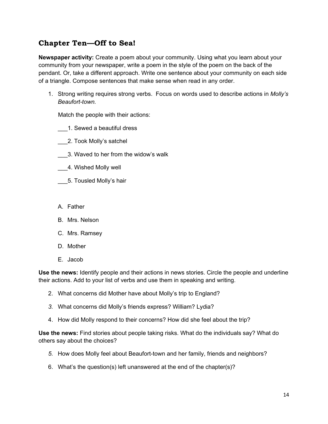# **Chapter Ten—Off to Sea!**

**Newspaper activity:** Create a poem about your community. Using what you learn about your community from your newspaper, write a poem in the style of the poem on the back of the pendant. Or, take a different approach. Write one sentence about your community on each side of a triangle. Compose sentences that make sense when read in any order.

1. Strong writing requires strong verbs. Focus on words used to describe actions in *Molly's Beaufort-town.*

Match the people with their actions:

- \_\_\_1. Sewed a beautiful dress
- \_\_\_2. Took Molly's satchel
- \_\_\_3. Waved to her from the widow's walk
- \_\_\_4. Wished Molly well
- \_\_\_5. Tousled Molly's hair
- A. Father
- B. Mrs. Nelson
- C. Mrs. Ramsey
- D. Mother
- E. Jacob

**Use the news:** Identify people and their actions in news stories. Circle the people and underline their actions. Add to your list of verbs and use them in speaking and writing.

- 2. What concerns did Mother have about Molly's trip to England?
- *3.* What concerns did Molly's friends express? William? Lydia?
- 4. How did Molly respond to their concerns? How did she feel about the trip?

**Use the news:** Find stories about people taking risks. What do the individuals say? What do others say about the choices?

- *5.* How does Molly feel about Beaufort-town and her family, friends and neighbors?
- 6. What's the question(s) left unanswered at the end of the chapter(s)?